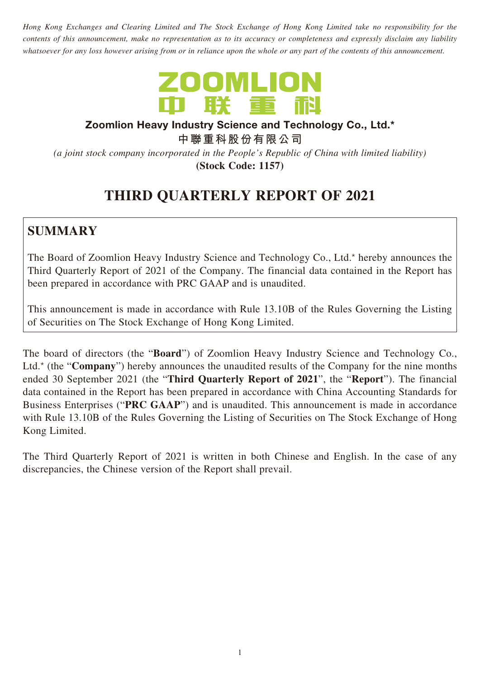*Hong Kong Exchanges and Clearing Limited and The Stock Exchange of Hong Kong Limited take no responsibility for the contents of this announcement, make no representation as to its accuracy or completeness and expressly disclaim any liability whatsoever for any loss however arising from or in reliance upon the whole or any part of the contents of this announcement.*



#### **Zoomlion Heavy Industry Science and Technology Co., Ltd.\***

**中聯重科股份有限公司**

*(a joint stock company incorporated in the People's Republic of China with limited liability)* **(Stock Code: 1157)**

# **THIRD QUARTERLY REPORT OF 2021**

## **SUMMARY**

The Board of Zoomlion Heavy Industry Science and Technology Co., Ltd.\* hereby announces the Third Quarterly Report of 2021 of the Company. The financial data contained in the Report has been prepared in accordance with PRC GAAP and is unaudited.

This announcement is made in accordance with Rule 13.10B of the Rules Governing the Listing of Securities on The Stock Exchange of Hong Kong Limited.

The board of directors (the "**Board**") of Zoomlion Heavy Industry Science and Technology Co., Ltd.\* (the "**Company**") hereby announces the unaudited results of the Company for the nine months ended 30 September 2021 (the "**Third Quarterly Report of 2021**", the "**Report**"). The financial data contained in the Report has been prepared in accordance with China Accounting Standards for Business Enterprises ("**PRC GAAP**") and is unaudited. This announcement is made in accordance with Rule 13.10B of the Rules Governing the Listing of Securities on The Stock Exchange of Hong Kong Limited.

The Third Quarterly Report of 2021 is written in both Chinese and English. In the case of any discrepancies, the Chinese version of the Report shall prevail.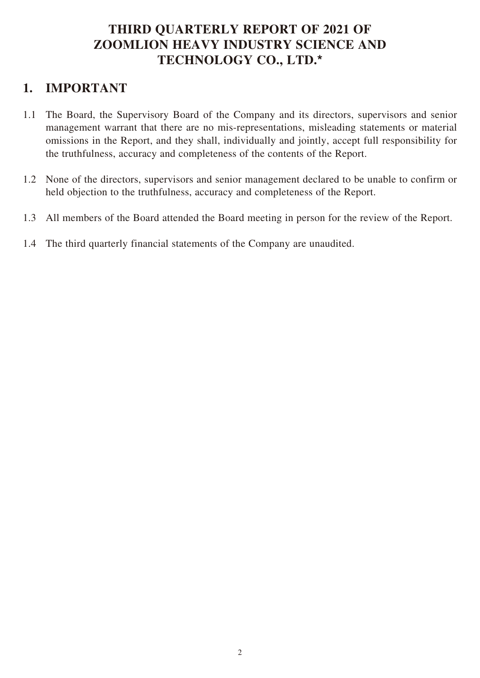### **THIRD QUARTERLY REPORT OF 2021 OF ZOOMLION HEAVY INDUSTRY SCIENCE AND TECHNOLOGY CO., LTD.\***

### **1. IMPORTANT**

- 1.1 The Board, the Supervisory Board of the Company and its directors, supervisors and senior management warrant that there are no mis-representations, misleading statements or material omissions in the Report, and they shall, individually and jointly, accept full responsibility for the truthfulness, accuracy and completeness of the contents of the Report.
- 1.2 None of the directors, supervisors and senior management declared to be unable to confirm or held objection to the truthfulness, accuracy and completeness of the Report.
- 1.3 All members of the Board attended the Board meeting in person for the review of the Report.
- 1.4 The third quarterly financial statements of the Company are unaudited.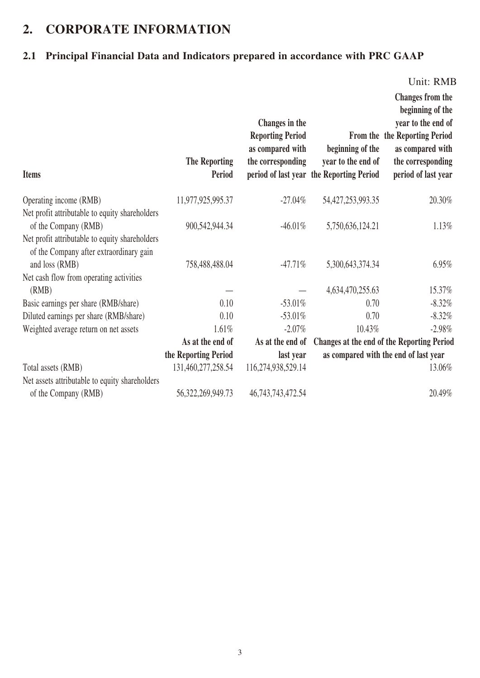## **2. CORPORATE INFORMATION**

### **2.1 Principal Financial Data and Indicators prepared in accordance with PRC GAAP**

Unit: RMB

| <b>Items</b>                                                                                                | <b>The Reporting</b><br>Period | Changes in the<br><b>Reporting Period</b><br>as compared with<br>the corresponding | beginning of the<br>year to the end of<br>period of last year the Reporting Period | <b>Changes from the</b><br>beginning of the<br>year to the end of<br>From the the Reporting Period<br>as compared with<br>the corresponding<br>period of last year |
|-------------------------------------------------------------------------------------------------------------|--------------------------------|------------------------------------------------------------------------------------|------------------------------------------------------------------------------------|--------------------------------------------------------------------------------------------------------------------------------------------------------------------|
| Operating income (RMB)                                                                                      | 11,977,925,995.37              | $-27.04\%$                                                                         | 54, 427, 253, 993. 35                                                              | 20.30%                                                                                                                                                             |
| Net profit attributable to equity shareholders<br>of the Company (RMB)                                      | 900,542,944.34                 | $-46.01\%$                                                                         | 5,750,636,124.21                                                                   | 1.13%                                                                                                                                                              |
| Net profit attributable to equity shareholders<br>of the Company after extraordinary gain<br>and loss (RMB) | 758,488,488.04                 | $-47.71%$                                                                          | 5,300,643,374.34                                                                   | 6.95%                                                                                                                                                              |
| Net cash flow from operating activities                                                                     |                                |                                                                                    |                                                                                    |                                                                                                                                                                    |
| (RMB)                                                                                                       |                                |                                                                                    | 4,634,470,255.63                                                                   | 15.37%                                                                                                                                                             |
| Basic earnings per share (RMB/share)                                                                        | 0.10                           | $-53.01\%$                                                                         | 0.70                                                                               | $-8.32\%$                                                                                                                                                          |
| Diluted earnings per share (RMB/share)                                                                      | 0.10                           | $-53.01\%$                                                                         | 0.70                                                                               | $-8.32%$                                                                                                                                                           |
| Weighted average return on net assets                                                                       | 1.61%                          | $-2.07\%$                                                                          | 10.43%                                                                             | $-2.98%$                                                                                                                                                           |
|                                                                                                             | As at the end of               | As at the end of                                                                   |                                                                                    | Changes at the end of the Reporting Period                                                                                                                         |
|                                                                                                             | the Reporting Period           | last year                                                                          |                                                                                    | as compared with the end of last year                                                                                                                              |
| Total assets (RMB)                                                                                          | 131,460,277,258.54             | 116,274,938,529.14                                                                 |                                                                                    | 13.06%                                                                                                                                                             |
| Net assets attributable to equity shareholders                                                              |                                |                                                                                    |                                                                                    |                                                                                                                                                                    |
| of the Company (RMB)                                                                                        | 56, 322, 269, 949. 73          | 46, 743, 743, 472. 54                                                              |                                                                                    | 20.49%                                                                                                                                                             |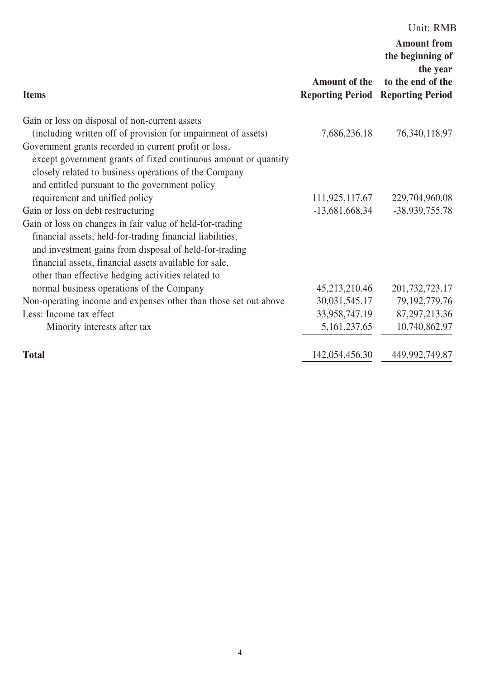|                                                                  |                                                 | Unit: RMB                                                                                          |
|------------------------------------------------------------------|-------------------------------------------------|----------------------------------------------------------------------------------------------------|
| <b>Items</b>                                                     | <b>Amount of the</b><br><b>Reporting Period</b> | <b>Amount from</b><br>the beginning of<br>the year<br>to the end of the<br><b>Reporting Period</b> |
| Gain or loss on disposal of non-current assets                   |                                                 |                                                                                                    |
| (including written off of provision for impairment of assets)    | 7,686,236.18                                    | 76, 340, 118.97                                                                                    |
| Government grants recorded in current profit or loss,            |                                                 |                                                                                                    |
| except government grants of fixed continuous amount or quantity  |                                                 |                                                                                                    |
| closely related to business operations of the Company            |                                                 |                                                                                                    |
| and entitled pursuant to the government policy                   |                                                 |                                                                                                    |
| requirement and unified policy                                   | 111,925,117.67                                  | 229,704,960.08                                                                                     |
| Gain or loss on debt restructuring                               | $-13,681,668.34$                                | -38,939,755.78                                                                                     |
| Gain or loss on changes in fair value of held-for-trading        |                                                 |                                                                                                    |
| financial assets, held-for-trading financial liabilities,        |                                                 |                                                                                                    |
| and investment gains from disposal of held-for-trading           |                                                 |                                                                                                    |
| financial assets, financial assets available for sale,           |                                                 |                                                                                                    |
| other than effective hedging activities related to               |                                                 |                                                                                                    |
| normal business operations of the Company                        | 45,213,210.46                                   | 201, 732, 723. 17                                                                                  |
| Non-operating income and expenses other than those set out above | 30,031,545.17                                   | 79, 192, 779. 76                                                                                   |
| Less: Income tax effect                                          | 33,958,747.19                                   | 87, 297, 213.36                                                                                    |
| Minority interests after tax                                     | 5, 161, 237. 65                                 | 10,740,862.97                                                                                      |
| <b>Total</b>                                                     | 142,054,456.30                                  | 449,992,749.87                                                                                     |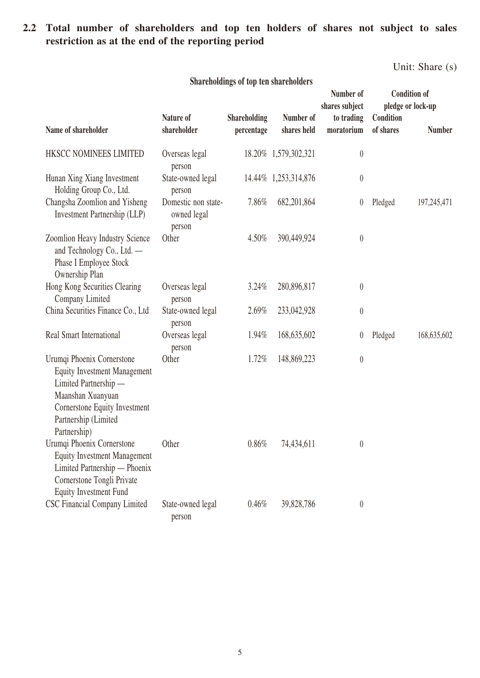#### **2.2 Total number of shareholders and top ten holders of shares not subject to sales restriction as at the end of the reporting period**

Unit: Share (s)

|                                                                                                                                                                                          |                                              |                                   |                          | Number of<br>shares subject |                        | <b>Condition of</b><br>pledge or lock-up |
|------------------------------------------------------------------------------------------------------------------------------------------------------------------------------------------|----------------------------------------------|-----------------------------------|--------------------------|-----------------------------|------------------------|------------------------------------------|
| Name of shareholder                                                                                                                                                                      | Nature of<br>shareholder                     | <b>Shareholding</b><br>percentage | Number of<br>shares held | to trading<br>moratorium    | Condition<br>of shares | <b>Number</b>                            |
| HKSCC NOMINEES LIMITED                                                                                                                                                                   | Overseas legal<br>person                     |                                   | 18.20% 1,579,302,321     | $\boldsymbol{0}$            |                        |                                          |
| Hunan Xing Xiang Investment<br>Holding Group Co., Ltd.                                                                                                                                   | State-owned legal<br>person                  |                                   | 14.44% 1,253,314,876     | $\boldsymbol{0}$            |                        |                                          |
| Changsha Zoomlion and Yisheng<br>Investment Partnership (LLP)                                                                                                                            | Domestic non state-<br>owned legal<br>person | 7.86%                             | 682, 201, 864            | $\pmb{0}$                   | Pledged                | 197,245,471                              |
| Zoomlion Heavy Industry Science<br>and Technology Co., Ltd. —<br>Phase I Employee Stock<br>Ownership Plan                                                                                | Other                                        | 4.50%                             | 390,449,924              | $\boldsymbol{0}$            |                        |                                          |
| Hong Kong Securities Clearing<br>Company Limited                                                                                                                                         | Overseas legal<br>person                     | 3.24%                             | 280,896,817              | $\boldsymbol{0}$            |                        |                                          |
| China Securities Finance Co., Ltd                                                                                                                                                        | State-owned legal<br>person                  | 2.69%                             | 233,042,928              | $\boldsymbol{0}$            |                        |                                          |
| Real Smart International                                                                                                                                                                 | Overseas legal<br>person                     | 1.94%                             | 168,635,602              | $\pmb{0}$                   | Pledged                | 168,635,602                              |
| Urumqi Phoenix Cornerstone<br><b>Equity Investment Management</b><br>Limited Partnership —<br>Maanshan Xuanyuan<br>Cornerstone Equity Investment<br>Partnership (Limited<br>Partnership) | Other                                        | 1.72%                             | 148,869,223              | $\boldsymbol{0}$            |                        |                                          |
| Urumqi Phoenix Cornerstone<br><b>Equity Investment Management</b><br>Limited Partnership — Phoenix<br>Cornerstone Tongli Private<br><b>Equity Investment Fund</b>                        | Other                                        | 0.86%                             | 74,434,611               | $\pmb{0}$                   |                        |                                          |
| CSC Financial Company Limited                                                                                                                                                            | State-owned legal<br>person                  | 0.46%                             | 39,828,786               | $\boldsymbol{0}$            |                        |                                          |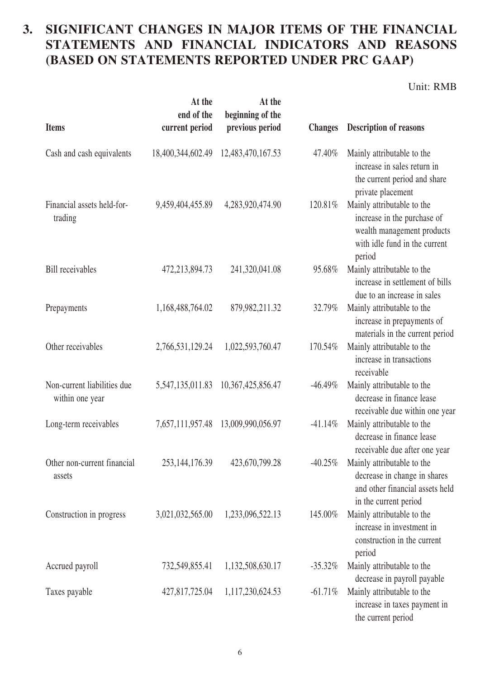### **3. SIGNIFICANT CHANGES IN MAJOR ITEMS OF THE FINANCIAL STATEMENTS AND FINANCIAL INDICATORS AND REASONS (BASED ON STATEMENTS REPORTED UNDER PRC GAAP)**

Unit: RMB

| <b>Items</b>                                   | At the<br>end of the<br>current period | At the<br>beginning of the<br>previous period | <b>Changes</b> | <b>Description of reasons</b>                                                                                                      |
|------------------------------------------------|----------------------------------------|-----------------------------------------------|----------------|------------------------------------------------------------------------------------------------------------------------------------|
| Cash and cash equivalents                      | 18,400,344,602.49                      | 12,483,470,167.53                             | 47.40%         | Mainly attributable to the<br>increase in sales return in<br>the current period and share<br>private placement                     |
| Financial assets held-for-<br>trading          | 9,459,404,455.89                       | 4,283,920,474.90                              | 120.81%        | Mainly attributable to the<br>increase in the purchase of<br>wealth management products<br>with idle fund in the current<br>period |
| <b>Bill</b> receivables                        | 472,213,894.73                         | 241,320,041.08                                | 95.68%         | Mainly attributable to the<br>increase in settlement of bills<br>due to an increase in sales                                       |
| Prepayments                                    | 1,168,488,764.02                       | 879,982,211.32                                | 32.79%         | Mainly attributable to the<br>increase in prepayments of<br>materials in the current period                                        |
| Other receivables                              | 2,766,531,129.24                       | 1,022,593,760.47                              | 170.54%        | Mainly attributable to the<br>increase in transactions<br>receivable                                                               |
| Non-current liabilities due<br>within one year | 5,547,135,011.83                       | 10,367,425,856.47                             | $-46.49\%$     | Mainly attributable to the<br>decrease in finance lease<br>receivable due within one year                                          |
| Long-term receivables                          | 7,657,111,957.48                       | 13,009,990,056.97                             | $-41.14%$      | Mainly attributable to the<br>decrease in finance lease<br>receivable due after one year                                           |
| Other non-current financial<br>assets          | 253, 144, 176.39                       | 423,670,799.28                                |                | -40.25% Mainly attributable to the<br>decrease in change in shares<br>and other financial assets held<br>in the current period     |
| Construction in progress                       | 3,021,032,565.00                       | 1,233,096,522.13                              | 145.00%        | Mainly attributable to the<br>increase in investment in<br>construction in the current<br>period                                   |
| Accrued payroll                                | 732,549,855.41                         | 1,132,508,630.17                              | $-35.32%$      | Mainly attributable to the<br>decrease in payroll payable                                                                          |
| Taxes payable                                  | 427,817,725.04                         | 1,117,230,624.53                              | $-61.71%$      | Mainly attributable to the<br>increase in taxes payment in<br>the current period                                                   |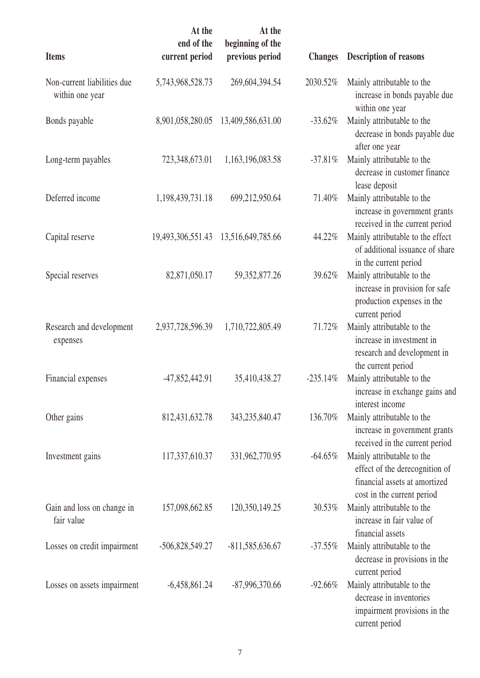| <b>Items</b>                                   | At the<br>end of the<br>current period | At the<br>beginning of the<br>previous period | <b>Changes</b> | <b>Description of reasons</b>                                                                                               |
|------------------------------------------------|----------------------------------------|-----------------------------------------------|----------------|-----------------------------------------------------------------------------------------------------------------------------|
| Non-current liabilities due<br>within one year | 5,743,968,528.73                       | 269,604,394.54                                | 2030.52%       | Mainly attributable to the<br>increase in bonds payable due<br>within one year                                              |
| Bonds payable                                  | 8,901,058,280.05                       | 13,409,586,631.00                             | $-33.62%$      | Mainly attributable to the<br>decrease in bonds payable due<br>after one year                                               |
| Long-term payables                             | 723,348,673.01                         | 1,163,196,083.58                              | $-37.81\%$     | Mainly attributable to the<br>decrease in customer finance<br>lease deposit                                                 |
| Deferred income                                | 1,198,439,731.18                       | 699,212,950.64                                | 71.40%         | Mainly attributable to the<br>increase in government grants<br>received in the current period                               |
| Capital reserve                                | 19,493,306,551.43                      | 13,516,649,785.66                             | 44.22%         | Mainly attributable to the effect<br>of additional issuance of share<br>in the current period                               |
| Special reserves                               | 82,871,050.17                          | 59,352,877.26                                 | 39.62%         | Mainly attributable to the<br>increase in provision for safe<br>production expenses in the                                  |
| Research and development<br>expenses           | 2,937,728,596.39                       | 1,710,722,805.49                              | 71.72%         | current period<br>Mainly attributable to the<br>increase in investment in<br>research and development in                    |
| Financial expenses                             | $-47,852,442.91$                       | 35,410,438.27                                 | $-235.14%$     | the current period<br>Mainly attributable to the<br>increase in exchange gains and<br>interest income                       |
| Other gains                                    | 812,431,632.78                         | 343,235,840.47                                | 136.70%        | Mainly attributable to the<br>increase in government grants<br>received in the current period                               |
| Investment gains                               | 117,337,610.37                         | 331,962,770.95                                | $-64.65%$      | Mainly attributable to the<br>effect of the derecognition of<br>financial assets at amortized<br>cost in the current period |
| Gain and loss on change in<br>fair value       | 157,098,662.85                         | 120,350,149.25                                | 30.53%         | Mainly attributable to the<br>increase in fair value of<br>financial assets                                                 |
| Losses on credit impairment                    | $-506,828,549.27$                      | $-811,585,636.67$                             | $-37.55%$      | Mainly attributable to the<br>decrease in provisions in the<br>current period                                               |
| Losses on assets impairment                    | $-6,458,861.24$                        | -87,996,370.66                                | $-92.66%$      | Mainly attributable to the<br>decrease in inventories<br>impairment provisions in the<br>current period                     |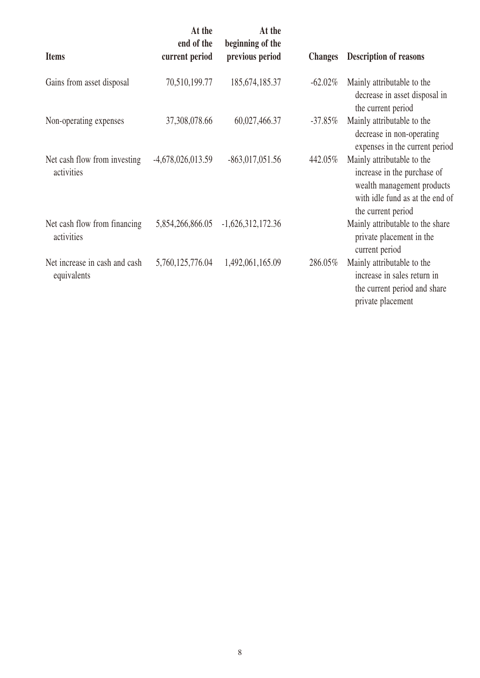| <b>Items</b>                                 | At the<br>end of the<br>current period | At the<br>beginning of the<br>previous period | <b>Changes</b> | <b>Description of reasons</b>                                                                                                                    |
|----------------------------------------------|----------------------------------------|-----------------------------------------------|----------------|--------------------------------------------------------------------------------------------------------------------------------------------------|
| Gains from asset disposal                    | 70,510,199.77                          | 185, 674, 185. 37                             | $-62.02\%$     | Mainly attributable to the<br>decrease in asset disposal in<br>the current period                                                                |
| Non-operating expenses                       | 37,308,078.66                          | 60,027,466.37                                 | $-37.85\%$     | Mainly attributable to the<br>decrease in non-operating<br>expenses in the current period                                                        |
| Net cash flow from investing<br>activities   | $-4,678,026,013.59$                    | $-863,017,051.56$                             | 442.05%        | Mainly attributable to the<br>increase in the purchase of<br>wealth management products<br>with idle fund as at the end of<br>the current period |
| Net cash flow from financing<br>activities   | 5,854,266,866.05                       | $-1,626,312,172.36$                           |                | Mainly attributable to the share<br>private placement in the<br>current period                                                                   |
| Net increase in cash and cash<br>equivalents | 5,760,125,776.04                       | 1,492,061,165.09                              | 286.05%        | Mainly attributable to the<br>increase in sales return in<br>the current period and share<br>private placement                                   |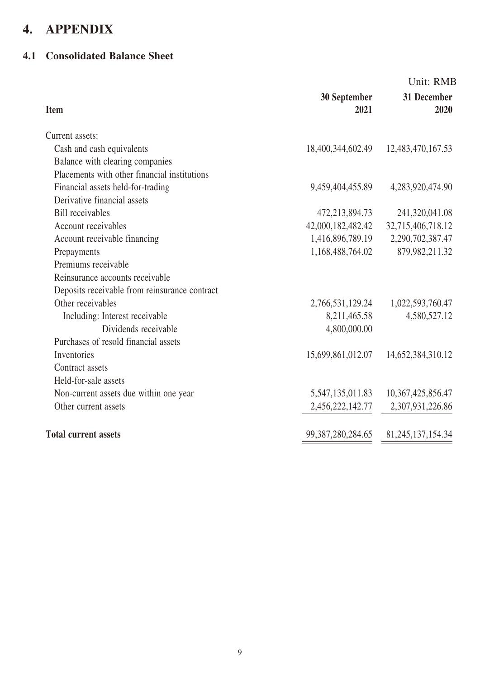# **4. APPENDIX**

#### **4.1 Consolidated Balance Sheet**

| <b>Item</b>                                   | 30 September<br>2021  | Unit: RMB<br>31 December<br>2020 |
|-----------------------------------------------|-----------------------|----------------------------------|
| Current assets:                               |                       |                                  |
| Cash and cash equivalents                     | 18,400,344,602.49     | 12,483,470,167.53                |
| Balance with clearing companies               |                       |                                  |
| Placements with other financial institutions  |                       |                                  |
| Financial assets held-for-trading             | 9,459,404,455.89      | 4,283,920,474.90                 |
| Derivative financial assets                   |                       |                                  |
| <b>Bill</b> receivables                       | 472,213,894.73        | 241,320,041.08                   |
| Account receivables                           | 42,000,182,482.42     | 32,715,406,718.12                |
| Account receivable financing                  | 1,416,896,789.19      | 2,290,702,387.47                 |
| Prepayments                                   | 1,168,488,764.02      | 879,982,211.32                   |
| Premiums receivable                           |                       |                                  |
| Reinsurance accounts receivable               |                       |                                  |
| Deposits receivable from reinsurance contract |                       |                                  |
| Other receivables                             | 2,766,531,129.24      | 1,022,593,760.47                 |
| Including: Interest receivable                | 8,211,465.58          | 4,580,527.12                     |
| Dividends receivable                          | 4,800,000.00          |                                  |
| Purchases of resold financial assets          |                       |                                  |
| Inventories                                   | 15,699,861,012.07     | 14,652,384,310.12                |
| Contract assets                               |                       |                                  |
| Held-for-sale assets                          |                       |                                  |
| Non-current assets due within one year        | 5,547,135,011.83      | 10,367,425,856.47                |
| Other current assets                          | 2,456,222,142.77      | 2,307,931,226.86                 |
| <b>Total current assets</b>                   | 99, 387, 280, 284. 65 | 81, 245, 137, 154. 34            |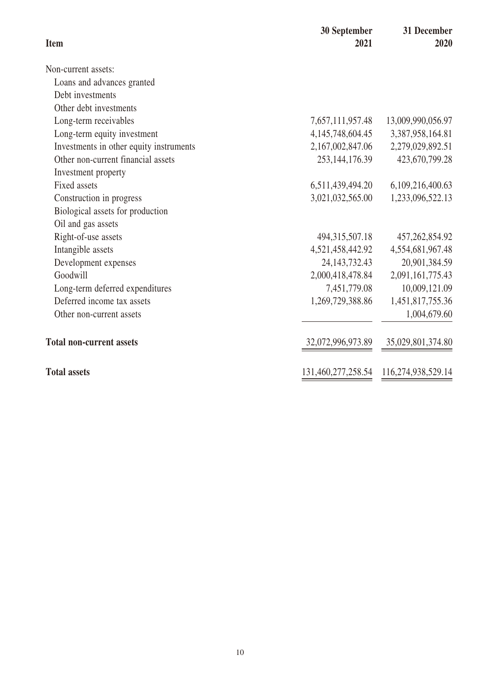| <b>Item</b>                             | 30 September<br>2021 | 31 December<br>2020 |
|-----------------------------------------|----------------------|---------------------|
| Non-current assets:                     |                      |                     |
| Loans and advances granted              |                      |                     |
| Debt investments                        |                      |                     |
| Other debt investments                  |                      |                     |
| Long-term receivables                   | 7,657,111,957.48     | 13,009,990,056.97   |
| Long-term equity investment             | 4, 145, 748, 604. 45 | 3,387,958,164.81    |
| Investments in other equity instruments | 2,167,002,847.06     | 2,279,029,892.51    |
| Other non-current financial assets      | 253, 144, 176. 39    | 423,670,799.28      |
| Investment property                     |                      |                     |
| Fixed assets                            | 6,511,439,494.20     | 6,109,216,400.63    |
| Construction in progress                | 3,021,032,565.00     | 1,233,096,522.13    |
| Biological assets for production        |                      |                     |
| Oil and gas assets                      |                      |                     |
| Right-of-use assets                     | 494,315,507.18       | 457, 262, 854. 92   |
| Intangible assets                       | 4,521,458,442.92     | 4,554,681,967.48    |
| Development expenses                    | 24, 143, 732. 43     | 20,901,384.59       |
| Goodwill                                | 2,000,418,478.84     | 2,091,161,775.43    |
| Long-term deferred expenditures         | 7,451,779.08         | 10,009,121.09       |
| Deferred income tax assets              | 1,269,729,388.86     | 1,451,817,755.36    |
| Other non-current assets                |                      | 1,004,679.60        |
| <b>Total non-current assets</b>         | 32,072,996,973.89    | 35,029,801,374.80   |
| <b>Total assets</b>                     | 131,460,277,258.54   | 116,274,938,529.14  |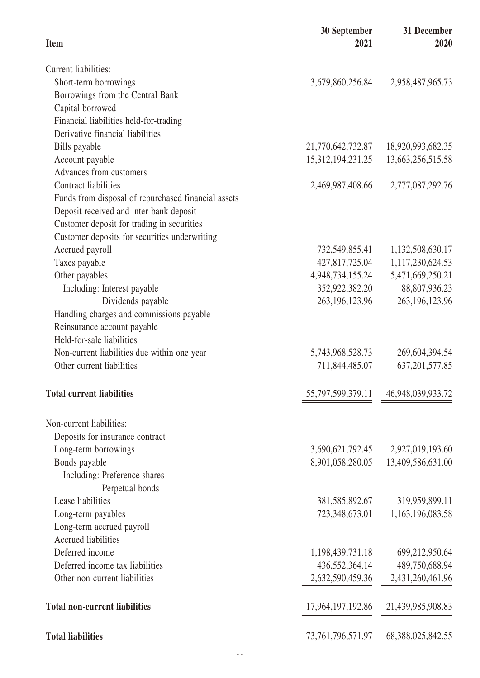| <b>Item</b>                                         | 30 September<br>2021  | 31 December<br>2020 |
|-----------------------------------------------------|-----------------------|---------------------|
| <b>Current liabilities:</b>                         |                       |                     |
| Short-term borrowings                               | 3,679,860,256.84      | 2,958,487,965.73    |
| Borrowings from the Central Bank                    |                       |                     |
| Capital borrowed                                    |                       |                     |
| Financial liabilities held-for-trading              |                       |                     |
| Derivative financial liabilities                    |                       |                     |
| Bills payable                                       | 21,770,642,732.87     | 18,920,993,682.35   |
| Account payable                                     | 15, 312, 194, 231. 25 | 13,663,256,515.58   |
| Advances from customers                             |                       |                     |
| <b>Contract liabilities</b>                         | 2,469,987,408.66      | 2,777,087,292.76    |
| Funds from disposal of repurchased financial assets |                       |                     |
| Deposit received and inter-bank deposit             |                       |                     |
| Customer deposit for trading in securities          |                       |                     |
| Customer deposits for securities underwriting       |                       |                     |
| Accrued payroll                                     | 732,549,855.41        | 1,132,508,630.17    |
| Taxes payable                                       | 427,817,725.04        | 1,117,230,624.53    |
| Other payables                                      | 4,948,734,155.24      | 5,471,669,250.21    |
| Including: Interest payable                         | 352,922,382.20        | 88,807,936.23       |
| Dividends payable                                   | 263, 196, 123. 96     | 263, 196, 123. 96   |
| Handling charges and commissions payable            |                       |                     |
| Reinsurance account payable                         |                       |                     |
| Held-for-sale liabilities                           |                       |                     |
| Non-current liabilities due within one year         | 5,743,968,528.73      | 269,604,394.54      |
| Other current liabilities                           | 711,844,485.07        | 637, 201, 577.85    |
| <b>Total current liabilities</b>                    | 55, 797, 599, 379. 11 | 46,948,039,933.72   |
| Non-current liabilities:                            |                       |                     |
| Deposits for insurance contract                     |                       |                     |
| Long-term borrowings                                | 3,690,621,792.45      | 2,927,019,193.60    |
| Bonds payable                                       | 8,901,058,280.05      | 13,409,586,631.00   |
| Including: Preference shares                        |                       |                     |
| Perpetual bonds                                     |                       |                     |
| Lease liabilities                                   | 381, 585, 892. 67     | 319,959,899.11      |
| Long-term payables                                  | 723,348,673.01        | 1,163,196,083.58    |
| Long-term accrued payroll                           |                       |                     |
| <b>Accrued liabilities</b>                          |                       |                     |
| Deferred income                                     | 1,198,439,731.18      | 699,212,950.64      |
| Deferred income tax liabilities                     | 436,552,364.14        | 489,750,688.94      |
| Other non-current liabilities                       | 2,632,590,459.36      | 2,431,260,461.96    |
| <b>Total non-current liabilities</b>                | 17,964,197,192.86     | 21,439,985,908.83   |
| <b>Total liabilities</b>                            | 73, 761, 796, 571. 97 | 68,388,025,842.55   |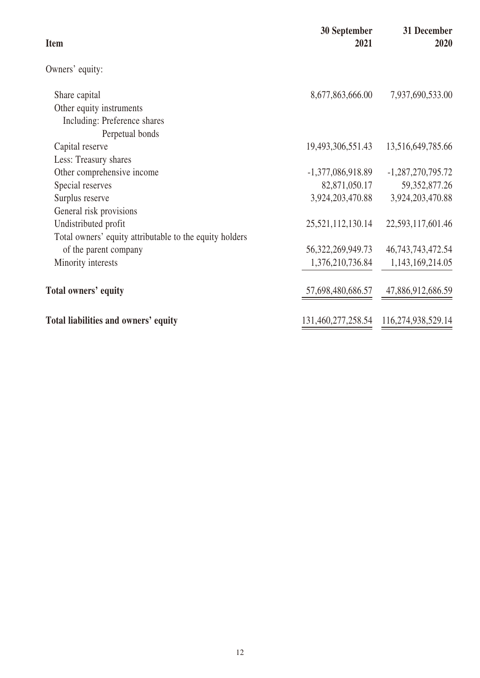| <b>Item</b>                                             | 30 September<br>2021  | 31 December<br>2020   |
|---------------------------------------------------------|-----------------------|-----------------------|
| Owners' equity:                                         |                       |                       |
| Share capital                                           | 8,677,863,666.00      | 7,937,690,533.00      |
| Other equity instruments                                |                       |                       |
| Including: Preference shares                            |                       |                       |
| Perpetual bonds                                         |                       |                       |
| Capital reserve                                         | 19,493,306,551.43     | 13,516,649,785.66     |
| Less: Treasury shares                                   |                       |                       |
| Other comprehensive income                              | $-1,377,086,918.89$   | $-1,287,270,795.72$   |
| Special reserves                                        | 82,871,050.17         | 59, 352, 877. 26      |
| Surplus reserve                                         | 3,924,203,470.88      | 3,924,203,470.88      |
| General risk provisions                                 |                       |                       |
| Undistributed profit                                    | 25,521,112,130.14     | 22,593,117,601.46     |
| Total owners' equity attributable to the equity holders |                       |                       |
| of the parent company                                   | 56, 322, 269, 949. 73 | 46, 743, 743, 472. 54 |
| Minority interests                                      | 1,376,210,736.84      | 1,143,169,214.05      |
| Total owners' equity                                    | 57,698,480,686.57     | 47,886,912,686.59     |
| Total liabilities and owners' equity                    | 131,460,277,258.54    | 116,274,938,529.14    |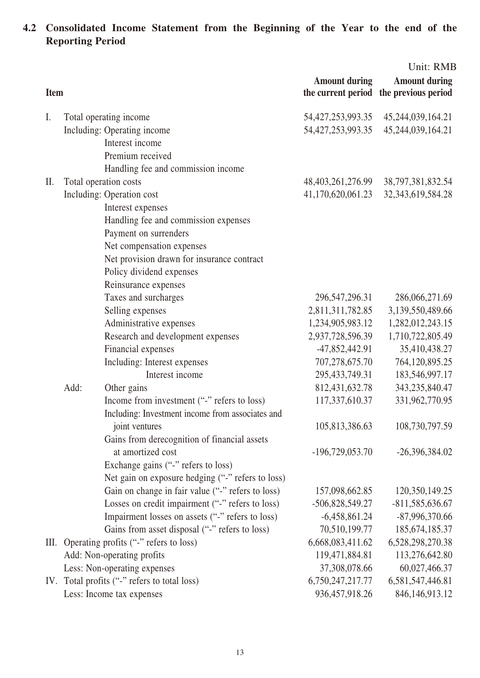**4.2 Consolidated Income Statement from the Beginning of the Year to the end of the Reporting Period**

|             |                                                   |                       | Unit: RMB             |
|-------------|---------------------------------------------------|-----------------------|-----------------------|
|             |                                                   | <b>Amount during</b>  | <b>Amount during</b>  |
| <b>Item</b> |                                                   | the current period    | the previous period   |
| I.          | Total operating income                            | 54,427,253,993.35     | 45,244,039,164.21     |
|             | Including: Operating income                       | 54, 427, 253, 993. 35 | 45,244,039,164.21     |
|             | Interest income                                   |                       |                       |
|             | Premium received                                  |                       |                       |
|             | Handling fee and commission income                |                       |                       |
| II.         | Total operation costs                             | 48, 403, 261, 276. 99 | 38, 797, 381, 832. 54 |
|             | Including: Operation cost                         | 41,170,620,061.23     | 32, 343, 619, 584. 28 |
|             | Interest expenses                                 |                       |                       |
|             | Handling fee and commission expenses              |                       |                       |
|             | Payment on surrenders                             |                       |                       |
|             | Net compensation expenses                         |                       |                       |
|             | Net provision drawn for insurance contract        |                       |                       |
|             | Policy dividend expenses                          |                       |                       |
|             | Reinsurance expenses                              |                       |                       |
|             | Taxes and surcharges                              | 296, 547, 296. 31     | 286,066,271.69        |
|             | Selling expenses                                  | 2,811,311,782.85      | 3,139,550,489.66      |
|             | Administrative expenses                           | 1,234,905,983.12      | 1,282,012,243.15      |
|             | Research and development expenses                 | 2,937,728,596.39      | 1,710,722,805.49      |
|             | Financial expenses                                | $-47,852,442.91$      | 35,410,438.27         |
|             | Including: Interest expenses                      | 707,278,675.70        | 764,120,895.25        |
|             | Interest income                                   | 295,433,749.31        | 183,546,997.17        |
|             | Add:<br>Other gains                               | 812,431,632.78        | 343,235,840.47        |
|             | Income from investment ("-" refers to loss)       | 117,337,610.37        | 331,962,770.95        |
|             | Including: Investment income from associates and  |                       |                       |
|             | joint ventures                                    | 105,813,386.63        | 108,730,797.59        |
|             | Gains from derecognition of financial assets      |                       |                       |
|             | at amortized cost                                 | $-196,729,053.70$     | $-26,396,384.02$      |
|             | Exchange gains ("-" refers to loss)               |                       |                       |
|             | Net gain on exposure hedging ("-" refers to loss) |                       |                       |
|             | Gain on change in fair value ("-" refers to loss) | 157,098,662.85        | 120,350,149.25        |
|             | Losses on credit impairment ("-" refers to loss)  | -506,828,549.27       | $-811,585,636.67$     |
|             | Impairment losses on assets ("-" refers to loss)  | $-6,458,861.24$       | $-87,996,370.66$      |
|             | Gains from asset disposal ("-" refers to loss)    | 70,510,199.77         | 185, 674, 185. 37     |
| Ш.          | Operating profits ("-" refers to loss)            | 6,668,083,411.62      | 6,528,298,270.38      |
|             | Add: Non-operating profits                        | 119,471,884.81        | 113,276,642.80        |
|             | Less: Non-operating expenses                      | 37,308,078.66         | 60,027,466.37         |
|             | IV. Total profits ("-" refers to total loss)      | 6,750,247,217.77      | 6,581,547,446.81      |
|             | Less: Income tax expenses                         | 936, 457, 918.26      | 846, 146, 913. 12     |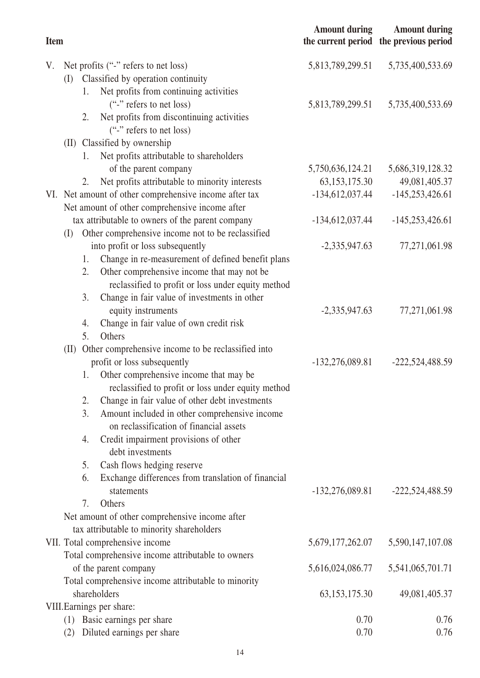| <b>Item</b> |      |                                                          | <b>Amount during</b> | <b>Amount during</b><br>the current period the previous period |
|-------------|------|----------------------------------------------------------|----------------------|----------------------------------------------------------------|
| V.          |      | Net profits ("-" refers to net loss)                     | 5,813,789,299.51     | 5,735,400,533.69                                               |
|             | (I)  | Classified by operation continuity                       |                      |                                                                |
|             |      | Net profits from continuing activities<br>1.             |                      |                                                                |
|             |      | ("-" refers to net loss)                                 | 5,813,789,299.51     | 5,735,400,533.69                                               |
|             |      | Net profits from discontinuing activities<br>2.          |                      |                                                                |
|             |      | ("-" refers to net loss)                                 |                      |                                                                |
|             |      | (II) Classified by ownership                             |                      |                                                                |
|             |      | Net profits attributable to shareholders<br>1.           |                      |                                                                |
|             |      | of the parent company                                    | 5,750,636,124.21     | 5,686,319,128.32                                               |
|             |      | Net profits attributable to minority interests<br>2.     | 63, 153, 175.30      | 49,081,405.37                                                  |
|             |      | VI. Net amount of other comprehensive income after tax   | $-134,612,037.44$    | $-145,253,426.61$                                              |
|             |      | Net amount of other comprehensive income after           |                      |                                                                |
|             |      | tax attributable to owners of the parent company         | $-134,612,037.44$    | $-145,253,426.61$                                              |
|             | (I)  | Other comprehensive income not to be reclassified        |                      |                                                                |
|             |      | into profit or loss subsequently                         | $-2,335,947.63$      | 77,271,061.98                                                  |
|             |      | Change in re-measurement of defined benefit plans<br>1.  |                      |                                                                |
|             |      | Other comprehensive income that may not be<br>2.         |                      |                                                                |
|             |      | reclassified to profit or loss under equity method       |                      |                                                                |
|             |      | Change in fair value of investments in other<br>3.       |                      |                                                                |
|             |      | equity instruments                                       | $-2,335,947.63$      | 77,271,061.98                                                  |
|             |      | Change in fair value of own credit risk<br>4.            |                      |                                                                |
|             |      | 5.<br>Others                                             |                      |                                                                |
|             | (II) | Other comprehensive income to be reclassified into       |                      |                                                                |
|             |      | profit or loss subsequently                              | $-132,276,089.81$    | $-222,524,488.59$                                              |
|             |      | Other comprehensive income that may be<br>1.             |                      |                                                                |
|             |      | reclassified to profit or loss under equity method       |                      |                                                                |
|             |      | Change in fair value of other debt investments<br>2.     |                      |                                                                |
|             |      | 3.<br>Amount included in other comprehensive income      |                      |                                                                |
|             |      | on reclassification of financial assets                  |                      |                                                                |
|             |      | Credit impairment provisions of other<br>4.              |                      |                                                                |
|             |      | debt investments                                         |                      |                                                                |
|             |      | Cash flows hedging reserve<br>5.                         |                      |                                                                |
|             |      | Exchange differences from translation of financial<br>6. |                      |                                                                |
|             |      | statements                                               | $-132,276,089.81$    | $-222,524,488.59$                                              |
|             |      | 7.<br>Others                                             |                      |                                                                |
|             |      | Net amount of other comprehensive income after           |                      |                                                                |
|             |      | tax attributable to minority shareholders                |                      |                                                                |
|             |      | VII. Total comprehensive income                          | 5,679,177,262.07     | 5,590,147,107.08                                               |
|             |      | Total comprehensive income attributable to owners        |                      |                                                                |
|             |      | of the parent company                                    | 5,616,024,086.77     | 5,541,065,701.71                                               |
|             |      | Total comprehensive income attributable to minority      |                      |                                                                |
|             |      | shareholders                                             | 63, 153, 175. 30     | 49,081,405.37                                                  |
|             |      | VIII. Earnings per share:                                |                      |                                                                |
|             | (1)  | Basic earnings per share                                 | 0.70                 | 0.76                                                           |
|             | (2)  | Diluted earnings per share                               | 0.70                 | 0.76                                                           |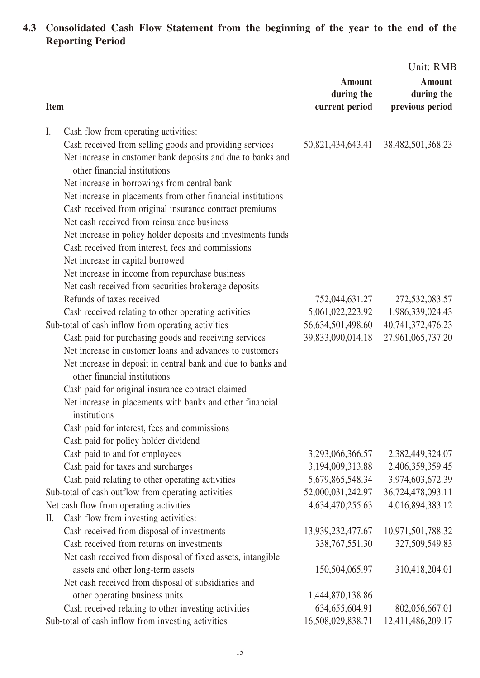#### **4.3 Consolidated Cash Flow Statement from the beginning of the year to the end of the Reporting Period**

| <b>Amount</b><br><b>Amount</b><br>during the<br>during the<br>previous period<br>current period<br><b>Item</b>                                                                                                                                                                                                                                                                                                            |  | Unit: RMB |
|---------------------------------------------------------------------------------------------------------------------------------------------------------------------------------------------------------------------------------------------------------------------------------------------------------------------------------------------------------------------------------------------------------------------------|--|-----------|
|                                                                                                                                                                                                                                                                                                                                                                                                                           |  |           |
|                                                                                                                                                                                                                                                                                                                                                                                                                           |  |           |
| I.<br>Cash flow from operating activities:<br>Cash received from selling goods and providing services<br>50,821,434,643.41<br>38,482,501,368.23<br>Net increase in customer bank deposits and due to banks and<br>other financial institutions<br>Net increase in borrowings from central bank<br>Net increase in placements from other financial institutions<br>Cash received from original insurance contract premiums |  |           |
| Net cash received from reinsurance business                                                                                                                                                                                                                                                                                                                                                                               |  |           |
| Net increase in policy holder deposits and investments funds<br>Cash received from interest, fees and commissions<br>Net increase in capital borrowed                                                                                                                                                                                                                                                                     |  |           |
| Net increase in income from repurchase business                                                                                                                                                                                                                                                                                                                                                                           |  |           |
| Net cash received from securities brokerage deposits                                                                                                                                                                                                                                                                                                                                                                      |  |           |
| Refunds of taxes received<br>752,044,631.27<br>272,532,083.57                                                                                                                                                                                                                                                                                                                                                             |  |           |
| 5,061,022,223.92<br>Cash received relating to other operating activities<br>1,986,339,024.43                                                                                                                                                                                                                                                                                                                              |  |           |
| Sub-total of cash inflow from operating activities<br>40,741,372,476.23<br>56,634,501,498.60                                                                                                                                                                                                                                                                                                                              |  |           |
| Cash paid for purchasing goods and receiving services<br>39,833,090,014.18<br>27,961,065,737.20<br>Net increase in customer loans and advances to customers                                                                                                                                                                                                                                                               |  |           |
| Net increase in deposit in central bank and due to banks and<br>other financial institutions                                                                                                                                                                                                                                                                                                                              |  |           |
| Cash paid for original insurance contract claimed                                                                                                                                                                                                                                                                                                                                                                         |  |           |
| Net increase in placements with banks and other financial                                                                                                                                                                                                                                                                                                                                                                 |  |           |
| institutions                                                                                                                                                                                                                                                                                                                                                                                                              |  |           |
| Cash paid for interest, fees and commissions                                                                                                                                                                                                                                                                                                                                                                              |  |           |
| Cash paid for policy holder dividend                                                                                                                                                                                                                                                                                                                                                                                      |  |           |
| Cash paid to and for employees<br>3,293,066,366.57<br>2,382,449,324.07                                                                                                                                                                                                                                                                                                                                                    |  |           |
| Cash paid for taxes and surcharges<br>3,194,009,313.88<br>2,406,359,359.45                                                                                                                                                                                                                                                                                                                                                |  |           |
| Cash paid relating to other operating activities<br>5,679,865,548.34<br>3,974,603,672.39                                                                                                                                                                                                                                                                                                                                  |  |           |
| 52,000,031,242.97<br>Sub-total of cash outflow from operating activities<br>36,724,478,093.11                                                                                                                                                                                                                                                                                                                             |  |           |
| Net cash flow from operating activities<br>4,634,470,255.63<br>4,016,894,383.12                                                                                                                                                                                                                                                                                                                                           |  |           |
| Cash flow from investing activities:<br>II.                                                                                                                                                                                                                                                                                                                                                                               |  |           |
| Cash received from disposal of investments<br>13,939,232,477.67<br>10,971,501,788.32                                                                                                                                                                                                                                                                                                                                      |  |           |
| Cash received from returns on investments<br>338, 767, 551.30<br>327,509,549.83                                                                                                                                                                                                                                                                                                                                           |  |           |
| Net cash received from disposal of fixed assets, intangible                                                                                                                                                                                                                                                                                                                                                               |  |           |
| assets and other long-term assets<br>150,504,065.97<br>310,418,204.01                                                                                                                                                                                                                                                                                                                                                     |  |           |
| Net cash received from disposal of subsidiaries and                                                                                                                                                                                                                                                                                                                                                                       |  |           |
| other operating business units<br>1,444,870,138.86<br>Cash received relating to other investing activities<br>634, 655, 604. 91<br>802,056,667.01                                                                                                                                                                                                                                                                         |  |           |
| Sub-total of cash inflow from investing activities<br>16,508,029,838.71<br>12,411,486,209.17                                                                                                                                                                                                                                                                                                                              |  |           |